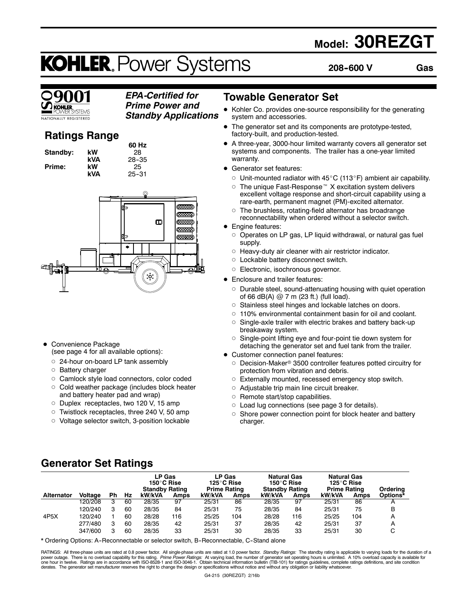## **Model: 30REZGT**

# **KOHLER. Power Systems**

**208--600 V Gas**



### *EPA-Certified for Prime Power and*

*Standby Applications*

**VATIONALLY REGISTERED** 

### **Ratings Range**

**Standby: kW 28**<br>**kVA 28-3 Prime:** kW<br>kVA

**60 Hz kVA** 28–35<br>**kW** 25 **kVA** 25--31



- Convenience Package (see page 4 for all available options):
	- o 24-hour on-board LP tank assembly
	- o Battery charger
	- o Camlock style load connectors, color coded
	- o Cold weather package (includes block heater and battery heater pad and wrap)
	- o Duplex receptacles, two 120 V, 15 amp
	- o Twistlock receptacles, three 240 V, 50 amp
	- o Voltage selector switch, 3-position lockable

### **Towable Generator Set**

- Kohler Co. provides one-source responsibility for the generating system and accessories.
- The generator set and its components are prototype-tested, factory-built, and production-tested.
- A three-year, 3000-hour limited warranty covers all generator set systems and components. The trailer has a one-year limited warranty.
- Generator set features:
	- $\circ$  Unit-mounted radiator with 45 $\rm{°C}$  (113 $\rm{°F}$ ) ambient air capability.
	- $\circ$  The unique Fast-Response<sup> $M$ </sup> X excitation system delivers excellent voltage response and short-circuit capability using a rare-earth, permanent magnet (PM)-excited alternator.
	- The brushless, rotating-field alternator has broadrange reconnectability when ordered without a selector switch.
- Engine features:
	- $\circ$  Operates on LP gas, LP liquid withdrawal, or natural gas fuel supply.
	- $\circ$  Heavy-duty air cleaner with air restrictor indicator.
	- o Lockable battery disconnect switch.
	- $\circ$  Electronic, isochronous governor.
- Enclosure and trailer features:
	- $\circ$  Durable steel, sound-attenuating housing with quiet operation of 66 dB(A) @ 7 m (23 ft.) (full load).
	- o Stainless steel hinges and lockable latches on doors.
	- $\circ$  110% environmental containment basin for oil and coolant.
	- $\circ$  Single-axle trailer with electric brakes and battery back-up breakaway system.
	- $\circ$  Single-point lifting eye and four-point tie down system for detaching the generator set and fuel tank from the trailer.
- Customer connection panel features:
- $\circ$  Decision-Maker® 3500 controller features potted circuitry for protection from vibration and debris.
- o Externally mounted, recessed emergency stop switch.
- $\circ$  Adjustable trip main line circuit breaker.
- $\circ$  Remote start/stop capabilities.
- $\circ$  Load lug connections (see page 3 for details).
- $\circ$  Shore power connection point for block heater and battery charger.

### **Generator Set Ratings**

|                   |                |    |    | LP Gas<br>150°C Rise<br><b>Standby Rating</b> |      | LP Gas<br>125°C Rise<br><b>Prime Rating</b> |      | <b>Natural Gas</b><br>150°C Rise<br><b>Standby Rating</b> |             | <b>Natural Gas</b><br>125°C Rise<br><b>Prime Rating</b> |      | Ordering |
|-------------------|----------------|----|----|-----------------------------------------------|------|---------------------------------------------|------|-----------------------------------------------------------|-------------|---------------------------------------------------------|------|----------|
| <b>Alternator</b> | <b>Voltage</b> | Ph | Hz | kW/kVA                                        | Amps | kW/kVA                                      | Amps | kW/kVA                                                    | <b>Amps</b> | kW/kVA                                                  | Amps | Options* |
|                   | 120/208        | 3  | 60 | 28/35                                         | 97   | 25/31                                       | 86   | 28/35                                                     | 97          | 25/31                                                   | 86   | А        |
|                   | 120/240        | 3  | 60 | 28/35                                         | 84   | 25/31                                       | 75   | 28/35                                                     | 84          | 25/31                                                   | 75   | B        |
| 4P <sub>5</sub> X | 120/240        |    | 60 | 28/28                                         | 116  | 25/25                                       | 104  | 28/28                                                     | 116         | 25/25                                                   | 104  | A        |
|                   | 277/480        | 3  | 60 | 28/35                                         | 42   | 25/31                                       | 37   | 28/35                                                     | 42          | 25/31                                                   | 37   | A        |
|                   | 347/600        | 3  | 60 | 28/35                                         | 33   | 25/31                                       | 30   | 28/35                                                     | 33          | 25/31                                                   | 30   | C        |

\* Ordering Options: A-Reconnectable or selector switch, B-Reconnectable, C-Stand alone

RATINGS: All three-phase units are rated at 0.8 power factor. All single-phase units are rated at 1.0 power factor. *Standby Ratings*: The standby rating is applicable to varying loads for the duration of a<br>power outage. T derates. The generator set manufacturer reserves the right to change the design or specifications without notice and without any obligation or liability whatsoever.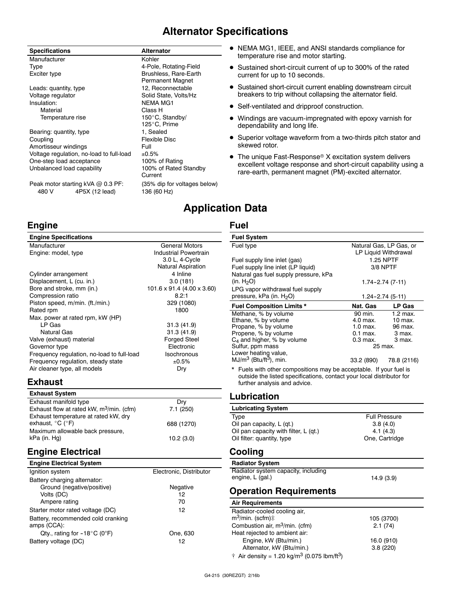### **Alternator Specifications**

| <b>Specifications</b>                                        | Alternator                                  |
|--------------------------------------------------------------|---------------------------------------------|
| Manufacturer                                                 | Kohler                                      |
| Type                                                         | 4-Pole, Rotating-Field                      |
| Exciter type                                                 | Brushless, Rare-Earth<br>Permanent Magnet   |
| Leads: quantity, type                                        | 12, Reconnectable                           |
| Voltage regulator                                            | Solid State, Volts/Hz                       |
| Insulation:                                                  | <b>NEMA MG1</b>                             |
| Material                                                     | Class H                                     |
| Temperature rise                                             | 150°C, Standby/                             |
|                                                              | 125°C, Prime                                |
| Bearing: quantity, type                                      | 1, Sealed                                   |
| Coupling                                                     | Flexible Disc                               |
| Amortisseur windings                                         | Full                                        |
| Voltage regulation, no-load to full-load                     | ±0.5%                                       |
| One-step load acceptance                                     | 100% of Rating                              |
| Unbalanced load capability                                   | 100% of Rated Standby<br>Current            |
| Peak motor starting kVA @ 0.3 PF:<br>480 V<br>4P5X (12 lead) | (35% dip for voltages below)<br>136 (60 Hz) |

### **Engine**

| <b>Engine Specifications</b>               |                              |
|--------------------------------------------|------------------------------|
| Manufacturer                               | <b>General Motors</b>        |
| Engine: model, type                        | <b>Industrial Powertrain</b> |
|                                            | 3.0 L, 4-Cycle               |
|                                            | <b>Natural Aspiration</b>    |
| Cylinder arrangement                       | 4 Inline                     |
| Displacement, L (cu. in.)                  | 3.0(181)                     |
| Bore and stroke, mm (in.)                  | 101.6 x 91.4 (4.00 x 3.60)   |
| Compression ratio                          | 8.2:1                        |
| Piston speed, m/min. (ft./min.)            | 329 (1080)                   |
| Rated rpm                                  | 1800                         |
| Max. power at rated rpm, kW (HP)           |                              |
| LP Gas                                     | 31.3 (41.9)                  |
| <b>Natural Gas</b>                         | 31.3 (41.9)                  |
| Valve (exhaust) material                   | <b>Forged Steel</b>          |
| Governor type                              | Electronic                   |
| Frequency regulation, no-load to full-load | Isochronous                  |
| Frequency regulation, steady state         | ±0.5%                        |
| Air cleaner type, all models               | Dry                          |
|                                            |                              |

### **Exhaust**

| <b>Exhaust System</b>                       |            |
|---------------------------------------------|------------|
| Exhaust manifold type                       | Drv        |
| Exhaust flow at rated kW, $m^3$ /min. (cfm) | 7.1(250)   |
| Exhaust temperature at rated kW, dry        |            |
| exhaust, $^{\circ}$ C ( $^{\circ}$ F)       | 688 (1270) |
| Maximum allowable back pressure,            |            |
| kPa (in. Hg)                                | 10.2(3.0)  |

### **Engine Electrical**

| <b>Engine Electrical System</b>                   |                         |
|---------------------------------------------------|-------------------------|
| Ignition system                                   | Electronic, Distributor |
| Battery charging alternator:                      |                         |
| Ground (negative/positive)                        | Negative                |
| Volts (DC)                                        | 12                      |
| Ampere rating                                     | 70                      |
| Starter motor rated voltage (DC)                  | 12                      |
| Battery, recommended cold cranking<br>amps (CCA): |                         |
| Qty., rating for $-18^{\circ}$ C (0°F)            | One, 630                |
| Battery voltage (DC)                              | 12                      |

#### $\bullet$  NEMA MG1, IEEE, and ANSI standards compliance for temperature rise and motor starting.

- Sustained short-circuit current of up to 300% of the rated current for up to 10 seconds.
- Sustained short-circuit current enabling downstream circuit breakers to trip without collapsing the alternator field.
- Self-ventilated and dripproof construction.
- Windings are vacuum-impregnated with epoxy varnish for dependability and long life.
- Superior voltage waveform from a two-thirds pitch stator and skewed rotor.
- $\bullet$  The unique Fast-Response® X excitation system delivers excellent voltage response and short-circuit capability using a rare-earth, permanent magnet (PM)-excited alternator.

### **Application Data**

#### **Fuel**

| <b>Fuel System</b>                                                    |                   |                         |
|-----------------------------------------------------------------------|-------------------|-------------------------|
| Fuel type                                                             |                   | Natural Gas, LP Gas, or |
|                                                                       |                   | LP Liquid Withdrawal    |
| Fuel supply line inlet (gas)                                          |                   | 1.25 NPTF               |
| Fuel supply line inlet (LP liquid)                                    |                   | 3/8 NPTF                |
| Natural gas fuel supply pressure, kPa                                 |                   |                         |
| (in. $H_2O$ )                                                         |                   | $1.74 - 2.74(7 - 11)$   |
| LPG vapor withdrawal fuel supply                                      |                   |                         |
| pressure, kPa (in. H <sub>2</sub> O)                                  |                   | 1.24-2.74 (5-11)        |
| <b>Fuel Composition Limits *</b>                                      | Nat. Gas          | LP Gas                  |
| Methane, % by volume                                                  | 90 min.           | $1.2$ max.              |
| Ethane, % by volume                                                   | 4.0 max.          | $10$ max.               |
| Propane, % by volume                                                  | $1.0 \text{ max}$ | 96 max.                 |
| Propene, % by volume                                                  | $0.1$ max.        | 3 max.                  |
| $C_4$ and higher, % by volume                                         | 0.3 max.          | 3 max.                  |
| Sulfur, ppm mass                                                      |                   | 25 max.                 |
| Lower heating value,                                                  |                   |                         |
| $MJ/m3$ (Btu/ft <sup>3</sup> ), min.                                  | 33.2 (890)        | 78.8 (2116)             |
| * Fuels with other compositions may be acceptable. If your fuel is    |                   |                         |
| outside the listed specifications, contact your local distributor for |                   |                         |
| further analysis and advice.                                          |                   |                         |
| Lubrication                                                           |                   |                         |
| <b>Lubricating System</b>                                             |                   |                         |
| Type                                                                  |                   | <b>Full Pressure</b>    |
| Oil pan capacity, L (qt.)                                             |                   | 3.8(4.0)                |
| Oil pan capacity with filter, L (qt.)                                 |                   | 4.1 (4.3)               |
| Oil filter: quantity, type                                            |                   | One, Cartridge          |

#### **Cooling**

| <b>Radiator System</b>                                                                  |           |
|-----------------------------------------------------------------------------------------|-----------|
| Radiator system capacity, including<br>engine, L (gal.)                                 | 14.9(3.9) |
| $\bigcap_{i=1}^n A_i = \bigcap_{i=1}^n A_i = \bigcap_{i=1}^n A_i = \bigcap_{i=1}^n A_i$ |           |

#### **Operation Requirements**

| <b>Air Requirements</b>                                                     |            |
|-----------------------------------------------------------------------------|------------|
| Radiator-cooled cooling air,                                                |            |
| $m^3$ /min. (scfm) $\ddagger$                                               | 105 (3700) |
| Combustion air, m <sup>3</sup> /min. (cfm)                                  | 2.1(74)    |
| Heat rejected to ambient air:                                               |            |
| Engine, kW (Btu/min.)                                                       | 16.0 (910) |
| Alternator, kW (Btu/min.)                                                   | 3.8(220)   |
| $\dagger$ Air density = 1.20 kg/m <sup>3</sup> (0.075 lbm/ft <sup>3</sup> ) |            |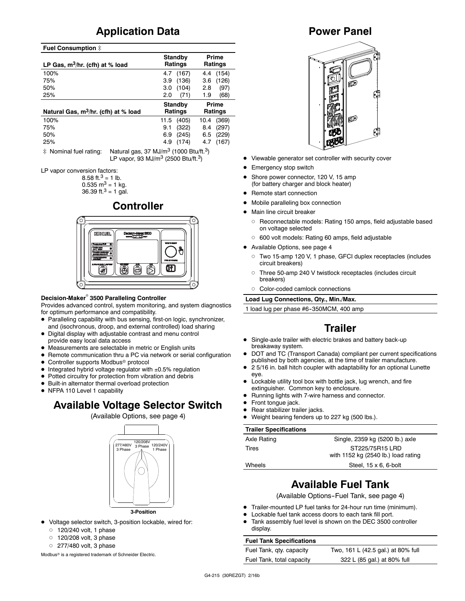### **Application Data**

#### **Fuel Consumption**  $\ddagger$

| LP Gas, $m^3/hr$ . (cfh) at % load               | Standby<br>Ratings | Prime<br>Ratings |
|--------------------------------------------------|--------------------|------------------|
| 100%                                             | (167)<br>4.7       | (154)<br>4.4     |
| 75%                                              | (136)<br>3.9       | (126)<br>3.6     |
| 50%                                              | (104)<br>3.0       | (97)<br>2.8      |
| 25%                                              | (71)<br>2.0        | (68)<br>1.9      |
|                                                  |                    |                  |
|                                                  | Standby            | Prime            |
| Natural Gas, m <sup>3</sup> /hr. (cfh) at % load | Ratings            | Ratings          |
| 100%                                             | (405)<br>11.5      | (369)<br>10.4    |
| 75%                                              | (322)<br>9.1       | (297)<br>8.4     |
| 50%                                              | (245)<br>6.9       | (229)<br>6.5     |

 $\ddot{\text{*}}$  Nominal fuel rating: Natural gas, 37 MJ/m<sup>3</sup> (1000 Btu/ft.<sup>3</sup>) LP vapor, 93 MJ/m3 (2500 Btu/ft.3)

LP vapor conversion factors:

8.58 ft.<sup>3</sup> = 1 lb.  $0.535$  m<sup>3</sup> = 1 kg. 36.39 ft.<sup>3</sup> = 1 gal.

### **Controller**



#### **Decision-Maker<sup>®</sup> 3500 Paralleling Controller**

Provides advanced control, system monitoring, and system diagnostics for optimum performance and compatibility.

- D Paralleling capability with bus sensing, first-on logic, synchronizer, and (isochronous, droop, and external controlled) load sharing
- $\bullet$  Digital display with adjustable contrast and menu control provide easy local data access
- $\bullet$  Measurements are selectable in metric or English units
- Remote communication thru a PC via network or serial configuration
- Controller supports Modbus<sup>®</sup> protocol
- Integrated hybrid voltage regulator with  $\pm 0.5\%$  regulation
- Potted circuitry for protection from vibration and debris
- $\bullet$  Built-in alternator thermal overload protection
- NFPA 110 Level 1 capability

### **Available Voltage Selector Switch**

#### (Available Options, see page 4)



- Voltage selector switch, 3-position lockable, wired for:
	- $0$  120/240 volt, 1 phase
	- $0$  120/208 volt, 3 phase
	- $\circ$  277/480 volt, 3 phase

Modbus<sup>®</sup> is a registered trademark of Schneider Electric.

### **Power Panel**



- Viewable generator set controller with security cover
- **•** Emergency stop switch
- Shore power connector, 120 V, 15 amp (for battery charger and block heater)
- Remote start connection
- Mobile paralleling box connection
- Main line circuit breaker
	- o Reconnectable models: Rating 150 amps, field adjustable based on voltage selected
	- o 600 volt models: Rating 60 amps, field adjustable
- Available Options, see page 4
	- d Two 15-amp 120 V, 1 phase, GFCI duplex receptacles (includes circuit breakers)
	- d Three 50-amp 240 V twistlock receptacles (includes circuit breakers)
	- d Color-coded camlock connections

**Load Lug Connections, Qty., Min./Max.**

1 load lug per phase #6-350MCM, 400 amp

### **Trailer**

- Single-axle trailer with electric brakes and battery back-up breakaway system.
- DOT and TC (Transport Canada) compliant per current specifications published by both agencies, at the time of trailer manufacture.
- 2 5/16 in. ball hitch coupler with adaptability for an optional Lunette eye.
- Lockable utility tool box with bottle jack, lug wrench, and fire extinguisher. Common key to enclosure.
- Running lights with 7-wire harness and connector.
- Front tonque jack.
- Rear stabilizer trailer jacks.
- Weight bearing fenders up to 227 kg (500 lbs.).

#### **Trailer Specifications**

| Axle Rating | Single, 2359 kg (5200 lb.) axle                        |
|-------------|--------------------------------------------------------|
| Tires       | ST225/75R15 LRD<br>with 1152 kg (2540 lb.) load rating |
| Wheels      | Steel, $15 \times 6$ , 6-bolt                          |
|             |                                                        |

### **Available Fuel Tank**

(Available Options-Fuel Tank, see page 4)

- Trailer-mounted LP fuel tanks for 24-hour run time (minimum).
- Lockable fuel tank access doors to each tank fill port.
- Tank assembly fuel level is shown on the DEC 3500 controller display.

#### **Fuel Tank Specifications**

Fuel Tank, qty. capacity Two, 161 L (42.5 gal.) at 80% full Fuel Tank, total capacity 322 L (85 gal.) at 80% full